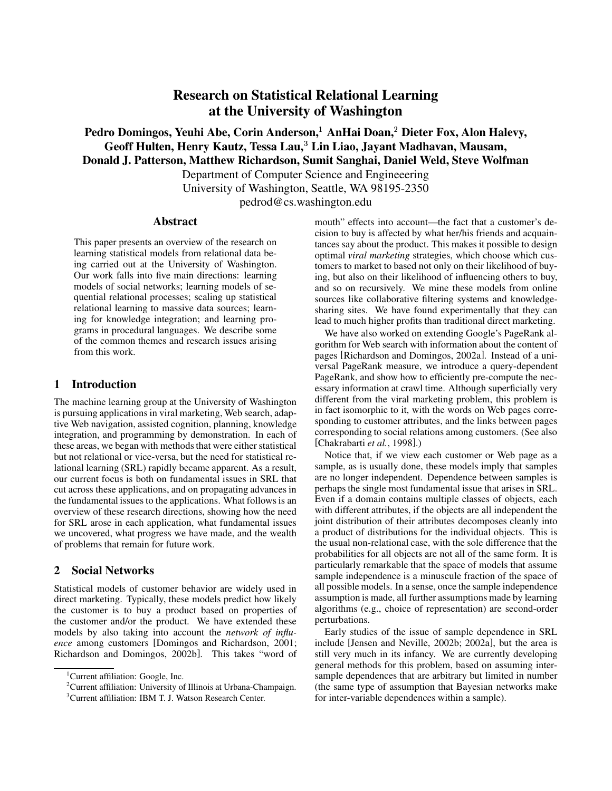# **Research on Statistical Relational Learning at the University of Washington**

# **Pedro Domingos, Yeuhi Abe, Corin Anderson, AnHai Doan, Dieter Fox, Alon Halevy, Geoff Hulten, Henry Kautz, Tessa Lau,**- **Lin Liao, Jayant Madhavan, Mausam, Donald J. Patterson, Matthew Richardson, Sumit Sanghai, Daniel Weld, Steve Wolfman**

Department of Computer Science and Engineeering

University of Washington, Seattle, WA 98195-2350

pedrod@cs.washington.edu

#### **Abstract**

This paper presents an overview of the research on learning statistical models from relational data being carried out at the University of Washington. Our work falls into five main directions: learning models of social networks; learning models of sequential relational processes; scaling up statistical relational learning to massive data sources; learning for knowledge integration; and learning programs in procedural languages. We describe some of the common themes and research issues arising from this work.

### **1 Introduction**

The machine learning group at the University of Washington is pursuing applications in viral marketing, Web search, adaptive Web navigation, assisted cognition, planning, knowledge integration, and programming by demonstration. In each of these areas, we began with methods that were either statistical but not relational or vice-versa, but the need for statistical relational learning (SRL) rapidly became apparent. As a result, our current focus is both on fundamental issues in SRL that cut across these applications, and on propagating advances in the fundamental issues to the applications. What follows is an overview of these research directions, showing how the need for SRL arose in each application, what fundamental issues we uncovered, what progress we have made, and the wealth of problems that remain for future work.

### **2 Social Networks**

Statistical models of customer behavior are widely used in direct marketing. Typically, these models predict how likely the customer is to buy a product based on properties of the customer and/or the product. We have extended these models by also taking into account the *network of influence* among customers [Domingos and Richardson, 2001; Richardson and Domingos, 2002b]. This takes "word of mouth" effects into account—the fact that a customer's decision to buy is affected by what her/his friends and acquaintances say about the product. This makes it possible to design optimal *viral marketing* strategies, which choose which customers to market to based not only on their likelihood of buying, but also on their likelihood of influencing others to buy, and so on recursively. We mine these models from online sources like collaborative filtering systems and knowledgesharing sites. We have found experimentally that they can lead to much higher profits than traditional direct marketing.

We have also worked on extending Google's PageRank algorithm for Web search with information about the content of pages [Richardson and Domingos, 2002a]. Instead of a universal PageRank measure, we introduce a query-dependent PageRank, and show how to efficiently pre-compute the necessary information at crawl time. Although superficially very different from the viral marketing problem, this problem is in fact isomorphic to it, with the words on Web pages corresponding to customer attributes, and the links between pages corresponding to social relations among customers. (See also [Chakrabarti *et al.*, 1998].)

Notice that, if we view each customer or Web page as a sample, as is usually done, these models imply that samples are no longer independent. Dependence between samples is perhaps the single most fundamental issue that arises in SRL. Even if a domain contains multiple classes of objects, each with different attributes, if the objects are all independent the joint distribution of their attributes decomposes cleanly into a product of distributions for the individual objects. This is the usual non-relational case, with the sole difference that the probabilities for all objects are not all of the same form. It is particularly remarkable that the space of models that assume sample independence is a minuscule fraction of the space of all possible models. In a sense, once the sample independence assumption is made, all further assumptions made by learning algorithms (e.g., choice of representation) are second-order perturbations.

Early studies of the issue of sample dependence in SRL include [Jensen and Neville, 2002b; 2002a], but the area is still very much in its infancy. We are currently developing general methods for this problem, based on assuming intersample dependences that are arbitrary but limited in number (the same type of assumption that Bayesian networks make for inter-variable dependences within a sample).

<sup>&</sup>lt;sup>1</sup>Current affiliation: Google, Inc.

<sup>2</sup>Current affiliation: University of Illinois at Urbana-Champaign.

<sup>&</sup>lt;sup>3</sup>Current affiliation: IBM T. J. Watson Research Center.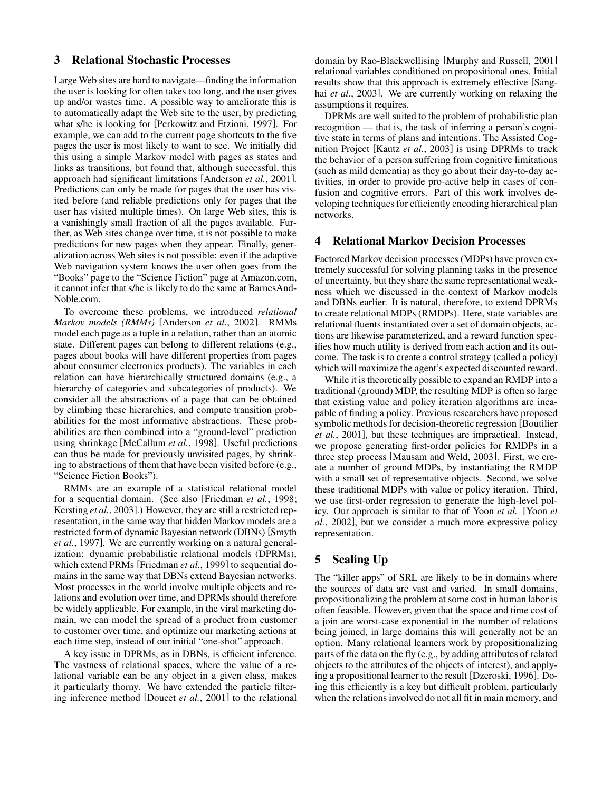#### **3 Relational Stochastic Processes**

Large Web sites are hard to navigate—finding the information the user is looking for often takes too long, and the user gives up and/or wastes time. A possible way to ameliorate this is to automatically adapt the Web site to the user, by predicting what s/he is looking for [Perkowitz and Etzioni, 1997]. For example, we can add to the current page shortcuts to the five pages the user is most likely to want to see. We initially did this using a simple Markov model with pages as states and links as transitions, but found that, although successful, this approach had significant limitations [Anderson *et al.*, 2001]. Predictions can only be made for pages that the user has visited before (and reliable predictions only for pages that the user has visited multiple times). On large Web sites, this is a vanishingly small fraction of all the pages available. Further, as Web sites change over time, it is not possible to make predictions for new pages when they appear. Finally, generalization across Web sites is not possible: even if the adaptive Web navigation system knows the user often goes from the "Books" page to the "Science Fiction" page at Amazon.com, it cannot infer that s/he is likely to do the same at BarnesAnd-Noble.com.

To overcome these problems, we introduced *relational Markov models (RMMs)* [Anderson *et al.*, 2002]. RMMs model each page as a tuple in a relation, rather than an atomic state. Different pages can belong to different relations (e.g., pages about books will have different properties from pages about consumer electronics products). The variables in each relation can have hierarchically structured domains (e.g., a hierarchy of categories and subcategories of products). We consider all the abstractions of a page that can be obtained by climbing these hierarchies, and compute transition probabilities for the most informative abstractions. These probabilities are then combined into a "ground-level" prediction using shrinkage [McCallum *et al.*, 1998]. Useful predictions can thus be made for previously unvisited pages, by shrinking to abstractions of them that have been visited before (e.g., "Science Fiction Books").

RMMs are an example of a statistical relational model for a sequential domain. (See also [Friedman *et al.*, 1998; Kersting *et al.*, 2003].) However, they are still a restricted representation, in the same way that hidden Markov models are a restricted form of dynamic Bayesian network (DBNs) [Smyth *et al.*, 1997]. We are currently working on a natural generalization: dynamic probabilistic relational models (DPRMs), which extend PRMs [Friedman *et al.*, 1999] to sequential domains in the same way that DBNs extend Bayesian networks. Most processes in the world involve multiple objects and relations and evolution over time, and DPRMs should therefore be widely applicable. For example, in the viral marketing domain, we can model the spread of a product from customer to customer over time, and optimize our marketing actions at each time step, instead of our initial "one-shot" approach.

A key issue in DPRMs, as in DBNs, is efficient inference. The vastness of relational spaces, where the value of a relational variable can be any object in a given class, makes it particularly thorny. We have extended the particle filtering inference method [Doucet *et al.*, 2001] to the relational domain by Rao-Blackwellising [Murphy and Russell, 2001] relational variables conditioned on propositional ones. Initial results show that this approach is extremely effective [Sanghai *et al.*, 2003]. We are currently working on relaxing the assumptions it requires.

DPRMs are well suited to the problem of probabilistic plan recognition — that is, the task of inferring a person's cognitive state in terms of plans and intentions. The Assisted Cognition Project [Kautz *et al.*, 2003] is using DPRMs to track the behavior of a person suffering from cognitive limitations (such as mild dementia) as they go about their day-to-day activities, in order to provide pro-active help in cases of confusion and cognitive errors. Part of this work involves developing techniques for efficiently encoding hierarchical plan networks.

### **4 Relational Markov Decision Processes**

Factored Markov decision processes (MDPs) have proven extremely successful for solving planning tasks in the presence of uncertainty, but they share the same representational weakness which we discussed in the context of Markov models and DBNs earlier. It is natural, therefore, to extend DPRMs to create relational MDPs (RMDPs). Here, state variables are relational fluents instantiated over a set of domain objects, actions are likewise parameterized, and a reward function specifies how much utility is derived from each action and its outcome. The task is to create a control strategy (called a policy) which will maximize the agent's expected discounted reward.

While it is theoretically possible to expand an RMDP into a traditional (ground) MDP, the resulting MDP is often so large that existing value and policy iteration algorithms are incapable of finding a policy. Previous researchers have proposed symbolic methods for decision-theoretic regression [Boutilier *et al.*, 2001], but these techniques are impractical. Instead, we propose generating first-order policies for RMDPs in a three step process [Mausam and Weld, 2003]. First, we create a number of ground MDPs, by instantiating the RMDP with a small set of representative objects. Second, we solve these traditional MDPs with value or policy iteration. Third, we use first-order regression to generate the high-level policy. Our approach is similar to that of Yoon *et al.* [Yoon *et al.*, 2002], but we consider a much more expressive policy representation.

# **5 Scaling Up**

The "killer apps" of SRL are likely to be in domains where the sources of data are vast and varied. In small domains, propositionalizing the problem at some cost in human labor is often feasible. However, given that the space and time cost of a join are worst-case exponential in the number of relations being joined, in large domains this will generally not be an option. Many relational learners work by propositionalizing parts of the data on the fly (e.g., by adding attributes of related objects to the attributes of the objects of interest), and applying a propositional learner to the result [Dzeroski, 1996]. Doing this efficiently is a key but difficult problem, particularly when the relations involved do not all fit in main memory, and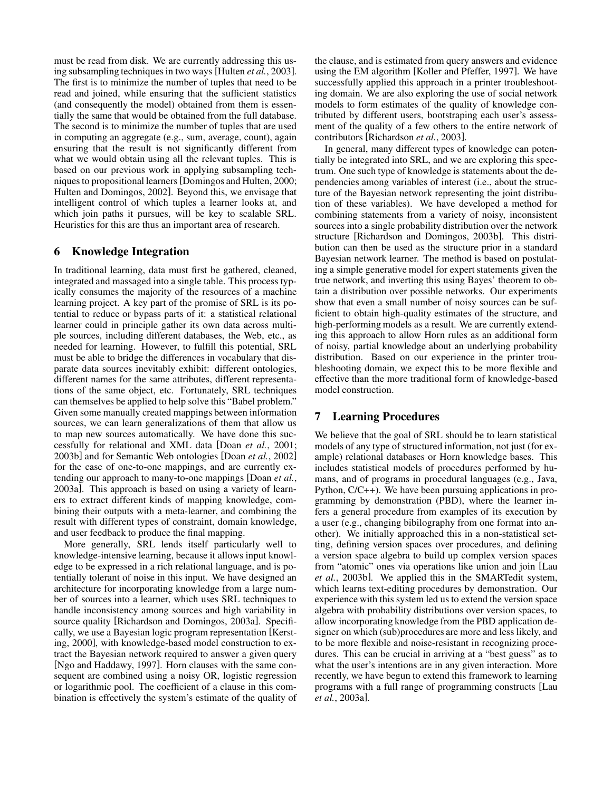must be read from disk. We are currently addressing this using subsampling techniques in two ways [Hulten *et al.*, 2003]. The first is to minimize the number of tuples that need to be read and joined, while ensuring that the sufficient statistics (and consequently the model) obtained from them is essentially the same that would be obtained from the full database. The second is to minimize the number of tuples that are used in computing an aggregate (e.g., sum, average, count), again ensuring that the result is not significantly different from what we would obtain using all the relevant tuples. This is based on our previous work in applying subsampling techniquesto propositional learners [Domingos and Hulten, 2000; Hulten and Domingos, 2002]. Beyond this, we envisage that intelligent control of which tuples a learner looks at, and which join paths it pursues, will be key to scalable SRL. Heuristics for this are thus an important area of research.

### **6 Knowledge Integration**

In traditional learning, data must first be gathered, cleaned, integrated and massaged into a single table. This process typically consumes the majority of the resources of a machine learning project. A key part of the promise of SRL is its potential to reduce or bypass parts of it: a statistical relational learner could in principle gather its own data across multiple sources, including different databases, the Web, etc., as needed for learning. However, to fulfill this potential, SRL must be able to bridge the differences in vocabulary that disparate data sources inevitably exhibit: different ontologies, different names for the same attributes, different representations of the same object, etc. Fortunately, SRL techniques can themselves be applied to help solve this "Babel problem." Given some manually created mappings between information sources, we can learn generalizations of them that allow us to map new sources automatically. We have done this successfully for relational and XML data [Doan *et al.*, 2001; 2003b] and for Semantic Web ontologies [Doan *et al.*, 2002] for the case of one-to-one mappings, and are currently extending our approach to many-to-one mappings [Doan *et al.*, 2003a]. This approach is based on using a variety of learners to extract different kinds of mapping knowledge, combining their outputs with a meta-learner, and combining the result with different types of constraint, domain knowledge, and user feedback to produce the final mapping.

More generally, SRL lends itself particularly well to knowledge-intensive learning, because it allows input knowledge to be expressed in a rich relational language, and is potentially tolerant of noise in this input. We have designed an architecture for incorporating knowledge from a large number of sources into a learner, which uses SRL techniques to handle inconsistency among sources and high variability in source quality [Richardson and Domingos, 2003a]. Specifically, we use a Bayesian logic program representation [Kersting, 2000], with knowledge-based model construction to extract the Bayesian network required to answer a given query [Ngo and Haddawy, 1997]. Horn clauses with the same consequent are combined using a noisy OR, logistic regression or logarithmic pool. The coefficient of a clause in this combination is effectively the system's estimate of the quality of the clause, and is estimated from query answers and evidence using the EM algorithm [Koller and Pfeffer, 1997]. We have successfully applied this approach in a printer troubleshooting domain. We are also exploring the use of social network models to form estimates of the quality of knowledge contributed by different users, bootstraping each user's assessment of the quality of a few others to the entire network of contributors [Richardson *et al.*, 2003].

In general, many different types of knowledge can potentially be integrated into SRL, and we are exploring this spectrum. One such type of knowledge is statements about the dependencies among variables of interest (i.e., about the structure of the Bayesian network representing the joint distribution of these variables). We have developed a method for combining statements from a variety of noisy, inconsistent sources into a single probability distribution over the network structure [Richardson and Domingos, 2003b]. This distribution can then be used as the structure prior in a standard Bayesian network learner. The method is based on postulating a simple generative model for expert statements given the true network, and inverting this using Bayes' theorem to obtain a distribution over possible networks. Our experiments show that even a small number of noisy sources can be sufficient to obtain high-quality estimates of the structure, and high-performing models as a result. We are currently extending this approach to allow Horn rules as an additional form of noisy, partial knowledge about an underlying probability distribution. Based on our experience in the printer troubleshooting domain, we expect this to be more flexible and effective than the more traditional form of knowledge-based model construction.

## **7 Learning Procedures**

We believe that the goal of SRL should be to learn statistical models of any type of structured information, not just (for example) relational databases or Horn knowledge bases. This includes statistical models of procedures performed by humans, and of programs in procedural languages (e.g., Java, Python, C/C++). We have been pursuing applications in programming by demonstration (PBD), where the learner infers a general procedure from examples of its execution by a user (e.g., changing bibilography from one format into another). We initially approached this in a non-statistical setting, defining version spaces over procedures, and defining a version space algebra to build up complex version spaces from "atomic" ones via operations like union and join [Lau *et al.*, 2003b]. We applied this in the SMARTedit system, which learns text-editing procedures by demonstration. Our experience with this system led us to extend the version space algebra with probability distributions over version spaces, to allow incorporating knowledge from the PBD application designer on which (sub)procedures are more and less likely, and to be more flexible and noise-resistant in recognizing procedures. This can be crucial in arriving at a "best guess" as to what the user's intentions are in any given interaction. More recently, we have begun to extend this framework to learning programs with a full range of programming constructs [Lau *et al.*, 2003a].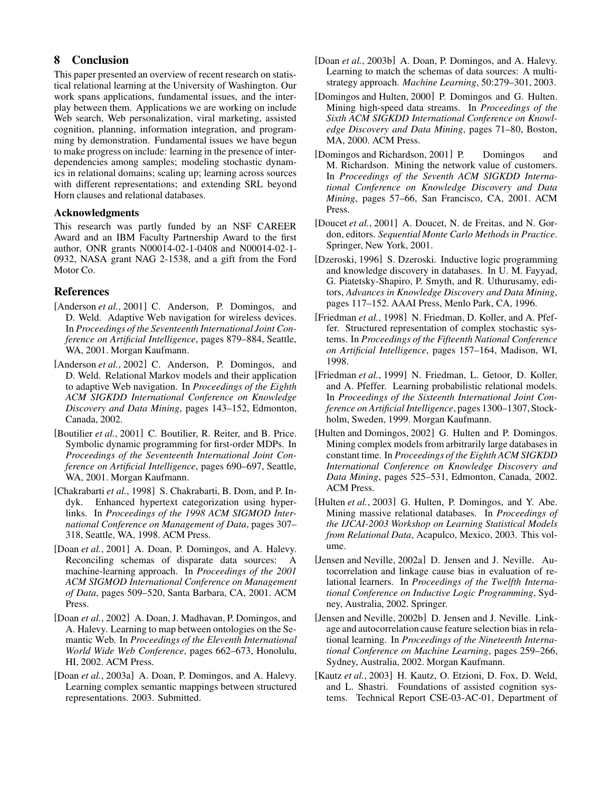# **8 Conclusion**

This paper presented an overview of recent research on statistical relational learning at the University of Washington. Our work spans applications, fundamental issues, and the interplay between them. Applications we are working on include Web search, Web personalization, viral marketing, assisted cognition, planning, information integration, and programming by demonstration. Fundamental issues we have begun to make progress on include: learning in the presence of interdependencies among samples; modeling stochastic dynamics in relational domains; scaling up; learning across sources with different representations; and extending SRL beyond Horn clauses and relational databases.

#### **Acknowledgments**

This research was partly funded by an NSF CAREER Award and an IBM Faculty Partnership Award to the first author, ONR grants N00014-02-1-0408 and N00014-02-1- 0932, NASA grant NAG 2-1538, and a gift from the Ford Motor Co.

#### **References**

- [Anderson *et al.*, 2001] C. Anderson, P. Domingos, and D. Weld. Adaptive Web navigation for wireless devices. In *Proceedings of the Seventeenth International Joint Conference on Artificial Intelligence*, pages 879–884, Seattle, WA, 2001. Morgan Kaufmann.
- [Anderson *et al.*, 2002] C. Anderson, P. Domingos, and D. Weld. Relational Markov models and their application to adaptive Web navigation. In *Proceedings of the Eighth ACM SIGKDD International Conference on Knowledge Discovery and Data Mining*, pages 143–152, Edmonton, Canada, 2002.
- [Boutilier *et al.*, 2001] C. Boutilier, R. Reiter, and B. Price. Symbolic dynamic programming for first-order MDPs. In *Proceedings of the Seventeenth International Joint Conference on Artificial Intelligence*, pages 690–697, Seattle, WA, 2001. Morgan Kaufmann.
- [Chakrabarti *et al.*, 1998] S. Chakrabarti, B. Dom, and P. Indyk. Enhanced hypertext categorization using hyperlinks. In *Proceedings of the 1998 ACM SIGMOD International Conference on Management of Data*, pages 307– 318, Seattle, WA, 1998. ACM Press.
- [Doan *et al.*, 2001] A. Doan, P. Domingos, and A. Halevy. Reconciling schemas of disparate data sources: A machine-learning approach. In *Proceedings of the 2001 ACM SIGMOD International Conference on Management of Data*, pages 509–520, Santa Barbara, CA, 2001. ACM Press.
- [Doan *et al.*, 2002] A. Doan, J. Madhavan, P. Domingos, and A. Halevy. Learning to map between ontologies on the Semantic Web. In *Proceedings of the Eleventh International World Wide Web Conference*, pages 662–673, Honolulu, HI, 2002. ACM Press.
- [Doan *et al.*, 2003a] A. Doan, P. Domingos, and A. Halevy. Learning complex semantic mappings between structured representations. 2003. Submitted.
- [Doan *et al.*, 2003b] A. Doan, P. Domingos, and A. Halevy. Learning to match the schemas of data sources: A multistrategy approach. *Machine Learning*, 50:279–301, 2003.
- [Domingos and Hulten, 2000] P. Domingos and G. Hulten. Mining high-speed data streams. In *Proceedings of the Sixth ACM SIGKDD International Conference on Knowledge Discovery and Data Mining*, pages 71–80, Boston, MA, 2000. ACM Press.
- [Domingos and Richardson, 2001] P. Domingos and M. Richardson. Mining the network value of customers. In *Proceedings of the Seventh ACM SIGKDD International Conference on Knowledge Discovery and Data Mining*, pages 57–66, San Francisco, CA, 2001. ACM Press.
- [Doucet *et al.*, 2001] A. Doucet, N. de Freitas, and N. Gordon, editors. *Sequential Monte Carlo Methods in Practice*. Springer, New York, 2001.
- [Dzeroski, 1996] S. Dzeroski. Inductive logic programming and knowledge discovery in databases. In U. M. Fayyad, G. Piatetsky-Shapiro, P. Smyth, and R. Uthurusamy, editors, *Advances in Knowledge Discovery and Data Mining*, pages 117–152. AAAI Press, Menlo Park, CA, 1996.
- [Friedman *et al.*, 1998] N. Friedman, D. Koller, and A. Pfeffer. Structured representation of complex stochastic systems. In *Proceedings of the Fifteenth National Conference on Artificial Intelligence*, pages 157–164, Madison, WI, 1998.
- [Friedman *et al.*, 1999] N. Friedman, L. Getoor, D. Koller, and A. Pfeffer. Learning probabilistic relational models. In *Proceedings of the Sixteenth International Joint Conference on Artificial Intelligence*, pages 1300–1307, Stockholm, Sweden, 1999. Morgan Kaufmann.
- [Hulten and Domingos, 2002] G. Hulten and P. Domingos. Mining complex models from arbitrarily large databases in constant time. In *Proceedings of the Eighth ACM SIGKDD International Conference on Knowledge Discovery and Data Mining*, pages 525–531, Edmonton, Canada, 2002. ACM Press.
- [Hulten *et al.*, 2003] G. Hulten, P. Domingos, and Y. Abe. Mining massive relational databases. In *Proceedings of the IJCAI-2003 Workshop on Learning Statistical Models from Relational Data*, Acapulco, Mexico, 2003. This volume.
- [Jensen and Neville, 2002a] D. Jensen and J. Neville. Autocorrelation and linkage cause bias in evaluation of relational learners. In *Proceedings of the Twelfth International Conference on Inductive Logic Programming*, Sydney, Australia, 2002. Springer.
- [Jensen and Neville, 2002b] D. Jensen and J. Neville. Linkage and autocorrelation cause feature selection bias in relational learning. In *Proceedings of the Nineteenth International Conference on Machine Learning*, pages 259–266, Sydney, Australia, 2002. Morgan Kaufmann.
- [Kautz *et al.*, 2003] H. Kautz, O. Etzioni, D. Fox, D. Weld, and L. Shastri. Foundations of assisted cognition systems. Technical Report CSE-03-AC-01, Department of